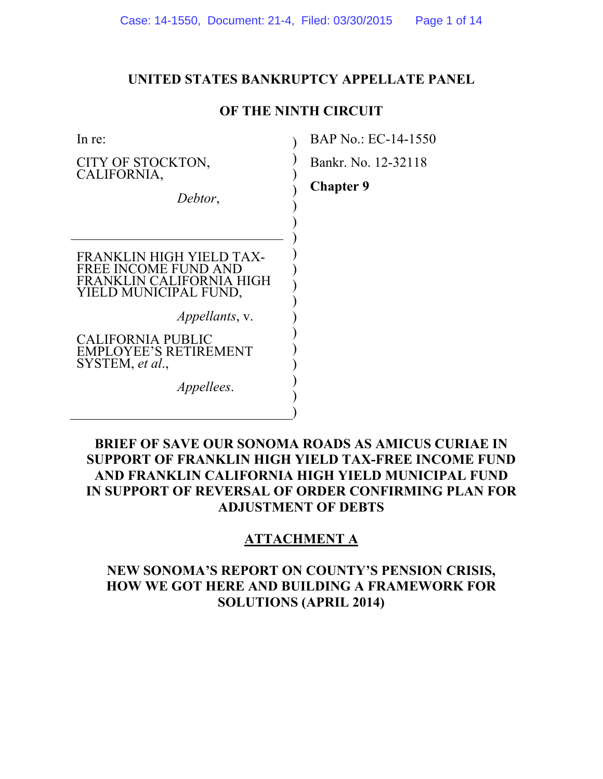#### **UNITED STATES BANKRUPTCY APPELLATE PANEL**

### **OF THE NINTH CIRCUIT**

 $\mathcal{L}$  $\mathcal{L}$  $\mathcal{L}$  $\overline{)}$  $\overline{)}$  $\overline{)}$  $\overline{)}$  $\overline{)}$  $\overline{)}$  $\mathcal{L}$  $\mathcal{L}$  $\mathcal{L}$  $\mathcal{L}$  $\mathcal{L}$  $\mathcal{L}$  $\mathcal{L}$  $\overline{)}$  $\mathcal{L}$ 

In re:

 $\overline{a}$ 

CITY OF STOCKTON, CALIFORNIA,

*Debtor*,

FRANKLIN HIGH YIELD TAX-FREE INCOME FUND AND FRANKLIN CALIFORNIA HIGH YIELD MUNICIPAL FUND,

 *Appellants*, v.

CALIFORNIA PUBLIC EMPLOYEE'S RETIREMENT SYSTEM, *et al*.,

 *Appellees*.

BAP No.: EC-14-1550

Bankr. No. 12-32118

**Chapter 9** 

# **BRIEF OF SAVE OUR SONOMA ROADS AS AMICUS CURIAE IN SUPPORT OF FRANKLIN HIGH YIELD TAX-FREE INCOME FUND AND FRANKLIN CALIFORNIA HIGH YIELD MUNICIPAL FUND IN SUPPORT OF REVERSAL OF ORDER CONFIRMING PLAN FOR ADJUSTMENT OF DEBTS**

# **ATTACHMENT A**

# **NEW SONOMA'S REPORT ON COUNTY'S PENSION CRISIS, HOW WE GOT HERE AND BUILDING A FRAMEWORK FOR SOLUTIONS (APRIL 2014)**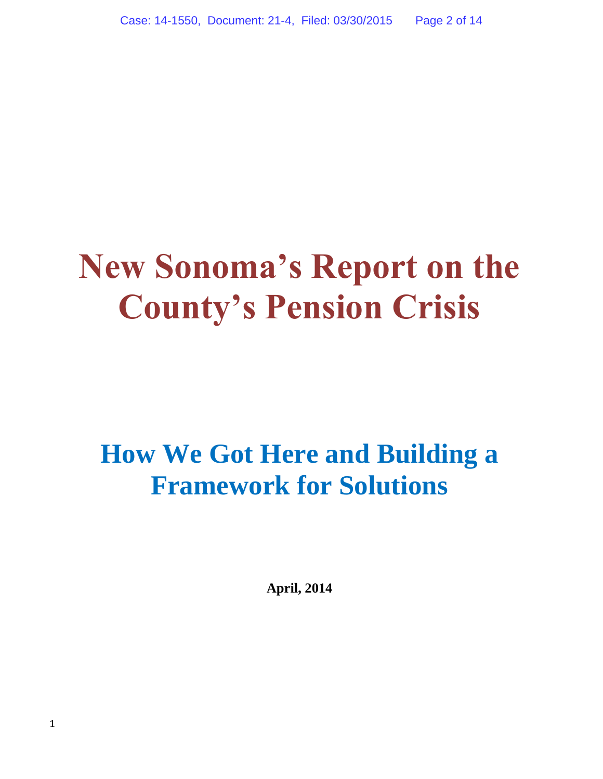# **New Sonoma's Report on the County's Pension Crisis**

# **How We Got Here and Building a Framework for Solutions**

**April, 2014**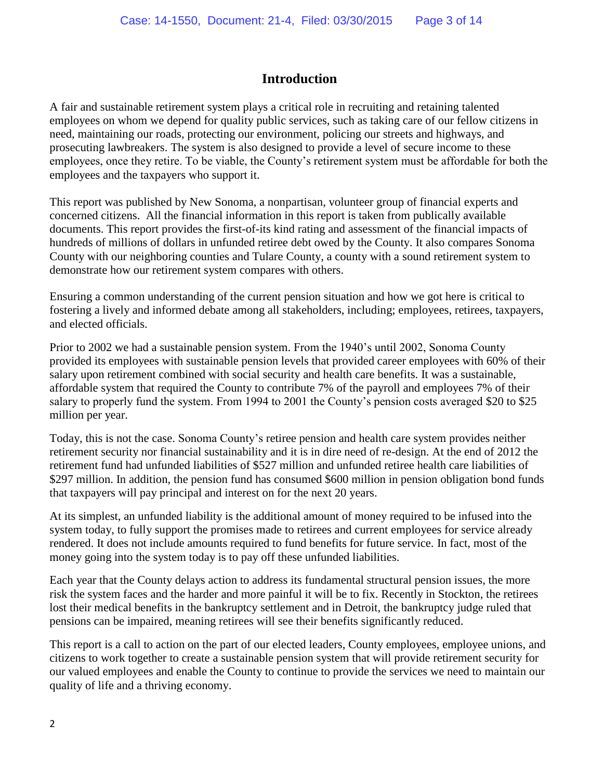# **Introduction**

A fair and sustainable retirement system plays a critical role in recruiting and retaining talented employees on whom we depend for quality public services, such as taking care of our fellow citizens in need, maintaining our roads, protecting our environment, policing our streets and highways, and prosecuting lawbreakers. The system is also designed to provide a level of secure income to these employees, once they retire. To be viable, the County's retirement system must be affordable for both the employees and the taxpayers who support it.

This report was published by New Sonoma, a nonpartisan, volunteer group of financial experts and concerned citizens. All the financial information in this report is taken from publically available documents. This report provides the first-of-its kind rating and assessment of the financial impacts of hundreds of millions of dollars in unfunded retiree debt owed by the County. It also compares Sonoma County with our neighboring counties and Tulare County, a county with a sound retirement system to demonstrate how our retirement system compares with others.

Ensuring a common understanding of the current pension situation and how we got here is critical to fostering a lively and informed debate among all stakeholders, including; employees, retirees, taxpayers, and elected officials.

Prior to 2002 we had a sustainable pension system. From the 1940's until 2002, Sonoma County provided its employees with sustainable pension levels that provided career employees with 60% of their salary upon retirement combined with social security and health care benefits. It was a sustainable, affordable system that required the County to contribute 7% of the payroll and employees 7% of their salary to properly fund the system. From 1994 to 2001 the County's pension costs averaged \$20 to \$25 million per year.

Today, this is not the case. Sonoma County's retiree pension and health care system provides neither retirement security nor financial sustainability and it is in dire need of re-design. At the end of 2012 the retirement fund had unfunded liabilities of \$527 million and unfunded retiree health care liabilities of \$297 million. In addition, the pension fund has consumed \$600 million in pension obligation bond funds that taxpayers will pay principal and interest on for the next 20 years.

At its simplest, an unfunded liability is the additional amount of money required to be infused into the system today, to fully support the promises made to retirees and current employees for service already rendered. It does not include amounts required to fund benefits for future service. In fact, most of the money going into the system today is to pay off these unfunded liabilities.

Each year that the County delays action to address its fundamental structural pension issues, the more risk the system faces and the harder and more painful it will be to fix. Recently in Stockton, the retirees lost their medical benefits in the bankruptcy settlement and in Detroit, the bankruptcy judge ruled that pensions can be impaired, meaning retirees will see their benefits significantly reduced.

This report is a call to action on the part of our elected leaders, County employees, employee unions, and citizens to work together to create a sustainable pension system that will provide retirement security for our valued employees and enable the County to continue to provide the services we need to maintain our quality of life and a thriving economy.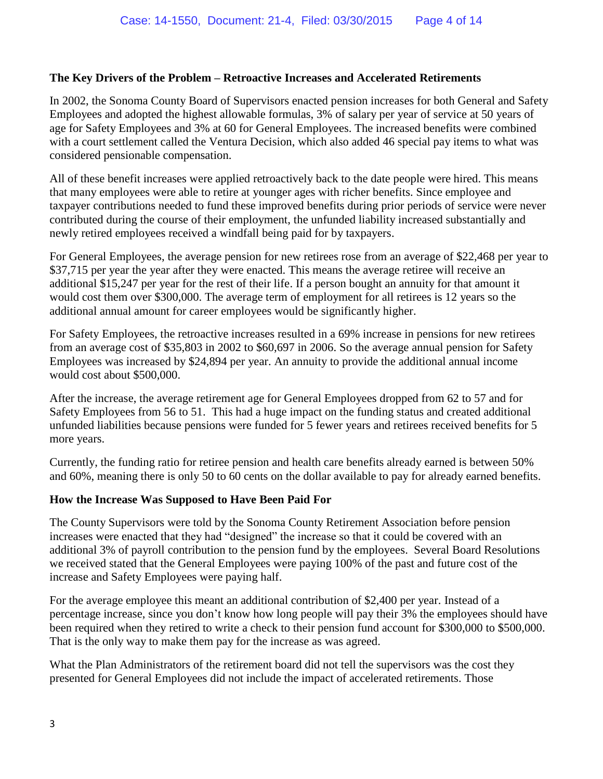#### **The Key Drivers of the Problem – Retroactive Increases and Accelerated Retirements**

In 2002, the Sonoma County Board of Supervisors enacted pension increases for both General and Safety Employees and adopted the highest allowable formulas, 3% of salary per year of service at 50 years of age for Safety Employees and 3% at 60 for General Employees. The increased benefits were combined with a court settlement called the Ventura Decision, which also added 46 special pay items to what was considered pensionable compensation.

All of these benefit increases were applied retroactively back to the date people were hired. This means that many employees were able to retire at younger ages with richer benefits. Since employee and taxpayer contributions needed to fund these improved benefits during prior periods of service were never contributed during the course of their employment, the unfunded liability increased substantially and newly retired employees received a windfall being paid for by taxpayers.

For General Employees, the average pension for new retirees rose from an average of \$22,468 per year to \$37,715 per year the year after they were enacted. This means the average retiree will receive an additional \$15,247 per year for the rest of their life. If a person bought an annuity for that amount it would cost them over \$300,000. The average term of employment for all retirees is 12 years so the additional annual amount for career employees would be significantly higher.

For Safety Employees, the retroactive increases resulted in a 69% increase in pensions for new retirees from an average cost of \$35,803 in 2002 to \$60,697 in 2006. So the average annual pension for Safety Employees was increased by \$24,894 per year. An annuity to provide the additional annual income would cost about \$500,000.

After the increase, the average retirement age for General Employees dropped from 62 to 57 and for Safety Employees from 56 to 51. This had a huge impact on the funding status and created additional unfunded liabilities because pensions were funded for 5 fewer years and retirees received benefits for 5 more years.

Currently, the funding ratio for retiree pension and health care benefits already earned is between 50% and 60%, meaning there is only 50 to 60 cents on the dollar available to pay for already earned benefits.

#### **How the Increase Was Supposed to Have Been Paid For**

The County Supervisors were told by the Sonoma County Retirement Association before pension increases were enacted that they had "designed" the increase so that it could be covered with an additional 3% of payroll contribution to the pension fund by the employees. Several Board Resolutions we received stated that the General Employees were paying 100% of the past and future cost of the increase and Safety Employees were paying half.

For the average employee this meant an additional contribution of \$2,400 per year. Instead of a percentage increase, since you don't know how long people will pay their 3% the employees should have been required when they retired to write a check to their pension fund account for \$300,000 to \$500,000. That is the only way to make them pay for the increase as was agreed.

What the Plan Administrators of the retirement board did not tell the supervisors was the cost they presented for General Employees did not include the impact of accelerated retirements. Those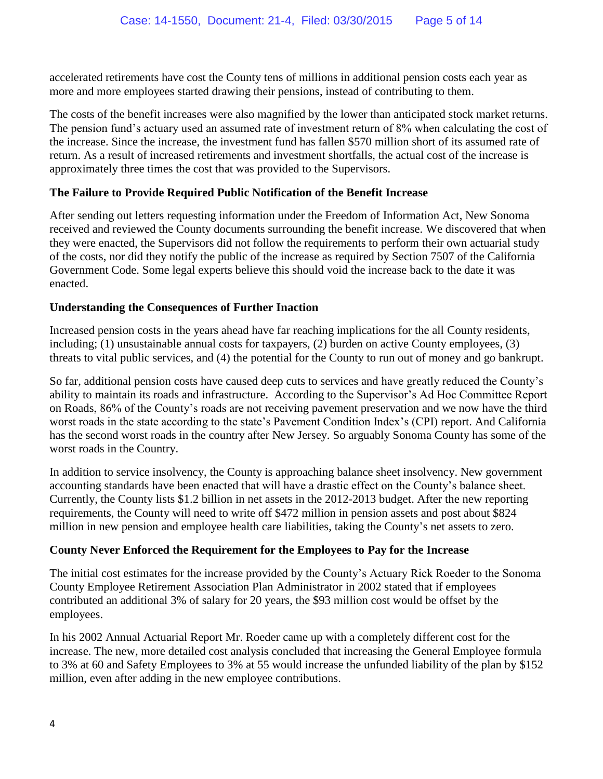accelerated retirements have cost the County tens of millions in additional pension costs each year as more and more employees started drawing their pensions, instead of contributing to them.

The costs of the benefit increases were also magnified by the lower than anticipated stock market returns. The pension fund's actuary used an assumed rate of investment return of 8% when calculating the cost of the increase. Since the increase, the investment fund has fallen \$570 million short of its assumed rate of return. As a result of increased retirements and investment shortfalls, the actual cost of the increase is approximately three times the cost that was provided to the Supervisors.

#### **The Failure to Provide Required Public Notification of the Benefit Increase**

After sending out letters requesting information under the Freedom of Information Act, New Sonoma received and reviewed the County documents surrounding the benefit increase. We discovered that when they were enacted, the Supervisors did not follow the requirements to perform their own actuarial study of the costs, nor did they notify the public of the increase as required by Section 7507 of the California Government Code. Some legal experts believe this should void the increase back to the date it was enacted.

#### **Understanding the Consequences of Further Inaction**

Increased pension costs in the years ahead have far reaching implications for the all County residents, including; (1) unsustainable annual costs for taxpayers, (2) burden on active County employees, (3) threats to vital public services, and (4) the potential for the County to run out of money and go bankrupt.

So far, additional pension costs have caused deep cuts to services and have greatly reduced the County's ability to maintain its roads and infrastructure. According to the Supervisor's Ad Hoc Committee Report on Roads, 86% of the County's roads are not receiving pavement preservation and we now have the third worst roads in the state according to the state's Pavement Condition Index's (CPI) report. And California has the second worst roads in the country after New Jersey. So arguably Sonoma County has some of the worst roads in the Country.

In addition to service insolvency, the County is approaching balance sheet insolvency. New government accounting standards have been enacted that will have a drastic effect on the County's balance sheet. Currently, the County lists \$1.2 billion in net assets in the 2012-2013 budget. After the new reporting requirements, the County will need to write off \$472 million in pension assets and post about \$824 million in new pension and employee health care liabilities, taking the County's net assets to zero.

#### **County Never Enforced the Requirement for the Employees to Pay for the Increase**

The initial cost estimates for the increase provided by the County's Actuary Rick Roeder to the Sonoma County Employee Retirement Association Plan Administrator in 2002 stated that if employees contributed an additional 3% of salary for 20 years, the \$93 million cost would be offset by the employees.

In his 2002 Annual Actuarial Report Mr. Roeder came up with a completely different cost for the increase. The new, more detailed cost analysis concluded that increasing the General Employee formula to 3% at 60 and Safety Employees to 3% at 55 would increase the unfunded liability of the plan by \$152 million, even after adding in the new employee contributions.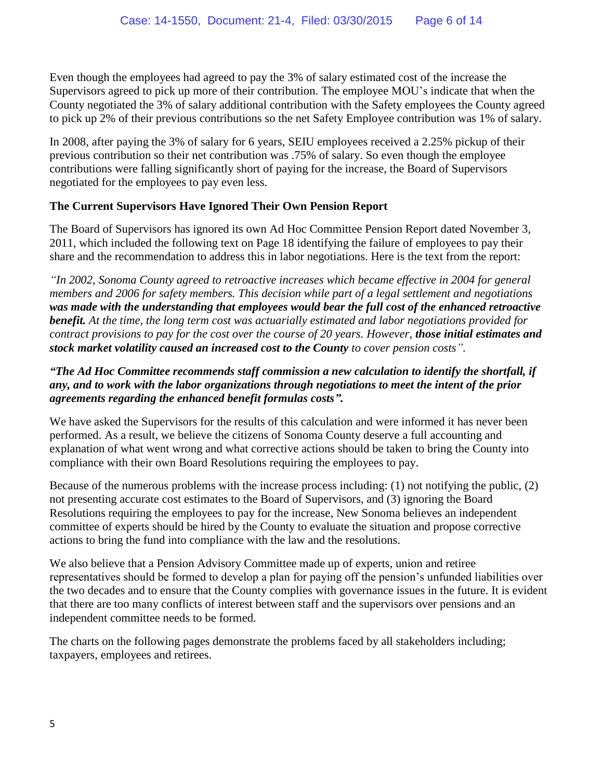Even though the employees had agreed to pay the 3% of salary estimated cost of the increase the Supervisors agreed to pick up more of their contribution. The employee MOU's indicate that when the County negotiated the 3% of salary additional contribution with the Safety employees the County agreed to pick up 2% of their previous contributions so the net Safety Employee contribution was 1% of salary.

In 2008, after paying the 3% of salary for 6 years, SEIU employees received a 2.25% pickup of their previous contribution so their net contribution was .75% of salary. So even though the employee contributions were falling significantly short of paying for the increase, the Board of Supervisors negotiated for the employees to pay even less.

#### **The Current Supervisors Have Ignored Their Own Pension Report**

The Board of Supervisors has ignored its own Ad Hoc Committee Pension Report dated November 3, 2011, which included the following text on Page 18 identifying the failure of employees to pay their share and the recommendation to address this in labor negotiations. Here is the text from the report:

*"In 2002, Sonoma County agreed to retroactive increases which became effective in 2004 for general members and 2006 for safety members. This decision while part of a legal settlement and negotiations was made with the understanding that employees would bear the full cost of the enhanced retroactive benefit. At the time, the long term cost was actuarially estimated and labor negotiations provided for contract provisions to pay for the cost over the course of 20 years. However, those initial estimates and stock market volatility caused an increased cost to the County to cover pension costs".*

#### *"The Ad Hoc Committee recommends staff commission a new calculation to identify the shortfall, if any, and to work with the labor organizations through negotiations to meet the intent of the prior agreements regarding the enhanced benefit formulas costs".*

We have asked the Supervisors for the results of this calculation and were informed it has never been performed. As a result, we believe the citizens of Sonoma County deserve a full accounting and explanation of what went wrong and what corrective actions should be taken to bring the County into compliance with their own Board Resolutions requiring the employees to pay.

Because of the numerous problems with the increase process including: (1) not notifying the public, (2) not presenting accurate cost estimates to the Board of Supervisors, and (3) ignoring the Board Resolutions requiring the employees to pay for the increase, New Sonoma believes an independent committee of experts should be hired by the County to evaluate the situation and propose corrective actions to bring the fund into compliance with the law and the resolutions.

We also believe that a Pension Advisory Committee made up of experts, union and retiree representatives should be formed to develop a plan for paying off the pension's unfunded liabilities over the two decades and to ensure that the County complies with governance issues in the future. It is evident that there are too many conflicts of interest between staff and the supervisors over pensions and an independent committee needs to be formed.

The charts on the following pages demonstrate the problems faced by all stakeholders including; taxpayers, employees and retirees.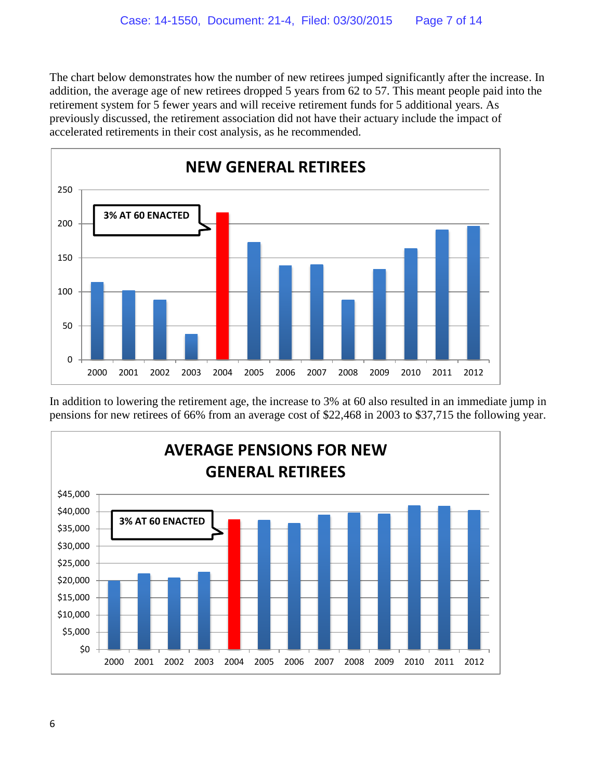The chart below demonstrates how the number of new retirees jumped significantly after the increase. In addition, the average age of new retirees dropped 5 years from 62 to 57. This meant people paid into the retirement system for 5 fewer years and will receive retirement funds for 5 additional years. As previously discussed, the retirement association did not have their actuary include the impact of accelerated retirements in their cost analysis, as he recommended.



In addition to lowering the retirement age, the increase to 3% at 60 also resulted in an immediate jump in pensions for new retirees of 66% from an average cost of \$22,468 in 2003 to \$37,715 the following year.

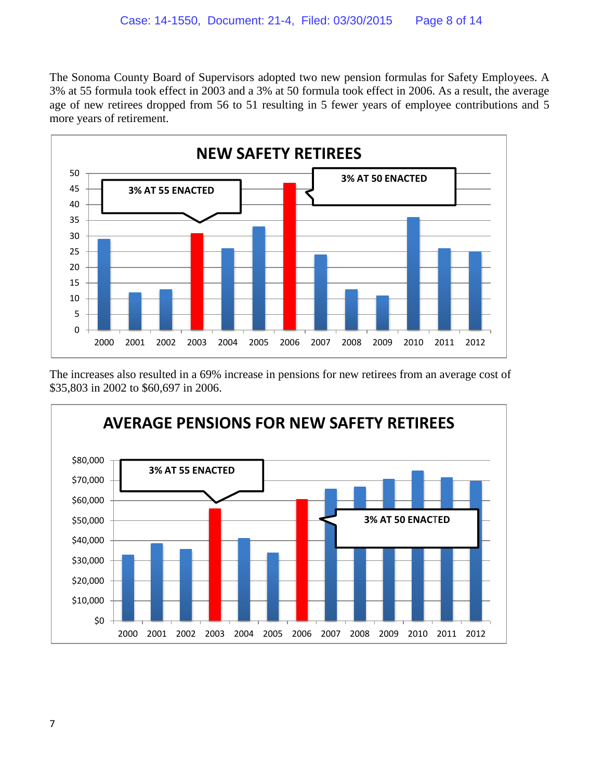The Sonoma County Board of Supervisors adopted two new pension formulas for Safety Employees. A 3% at 55 formula took effect in 2003 and a 3% at 50 formula took effect in 2006. As a result, the average age of new retirees dropped from 56 to 51 resulting in 5 fewer years of employee contributions and 5 more years of retirement.



The increases also resulted in a 69% increase in pensions for new retirees from an average cost of \$35,803 in 2002 to \$60,697 in 2006.

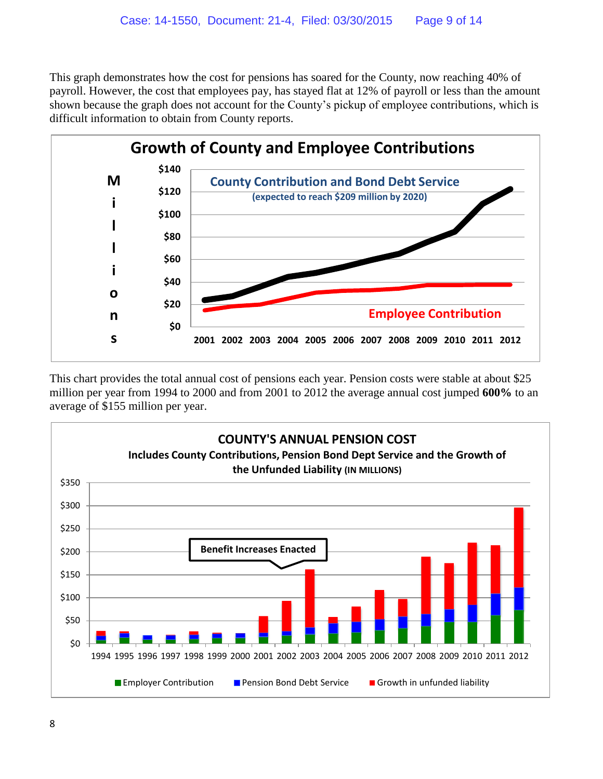This graph demonstrates how the cost for pensions has soared for the County, now reaching 40% of payroll. However, the cost that employees pay, has stayed flat at 12% of payroll or less than the amount shown because the graph does not account for the County's pickup of employee contributions, which is difficult information to obtain from County reports.



This chart provides the total annual cost of pensions each year. Pension costs were stable at about \$25 million per year from 1994 to 2000 and from 2001 to 2012 the average annual cost jumped **600%** to an average of \$155 million per year.

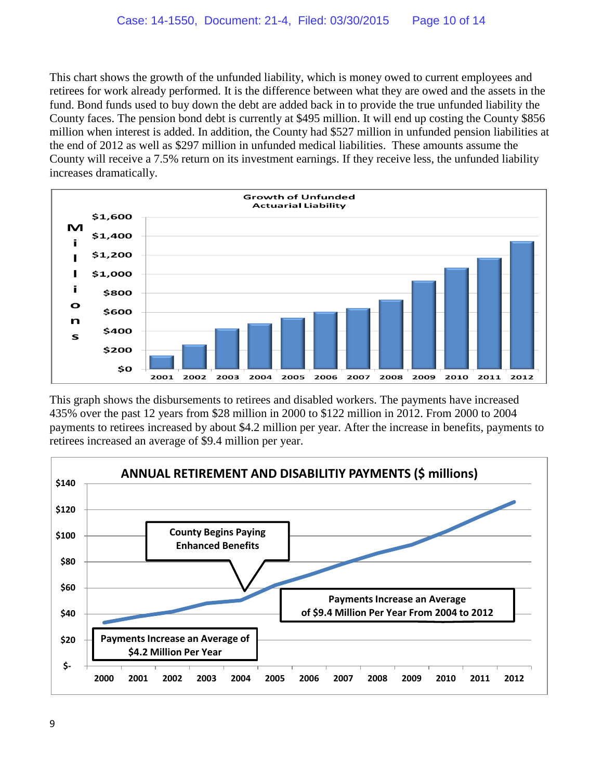This chart shows the growth of the unfunded liability, which is money owed to current employees and retirees for work already performed. It is the difference between what they are owed and the assets in the fund. Bond funds used to buy down the debt are added back in to provide the true unfunded liability the County faces. The pension bond debt is currently at \$495 million. It will end up costing the County \$856 million when interest is added. In addition, the County had \$527 million in unfunded pension liabilities at the end of 2012 as well as \$297 million in unfunded medical liabilities. These amounts assume the County will receive a 7.5% return on its investment earnings. If they receive less, the unfunded liability increases dramatically.



This graph shows the disbursements to retirees and disabled workers. The payments have increased 435% over the past 12 years from \$28 million in 2000 to \$122 million in 2012. From 2000 to 2004 payments to retirees increased by about \$4.2 million per year. After the increase in benefits, payments to retirees increased an average of \$9.4 million per year.

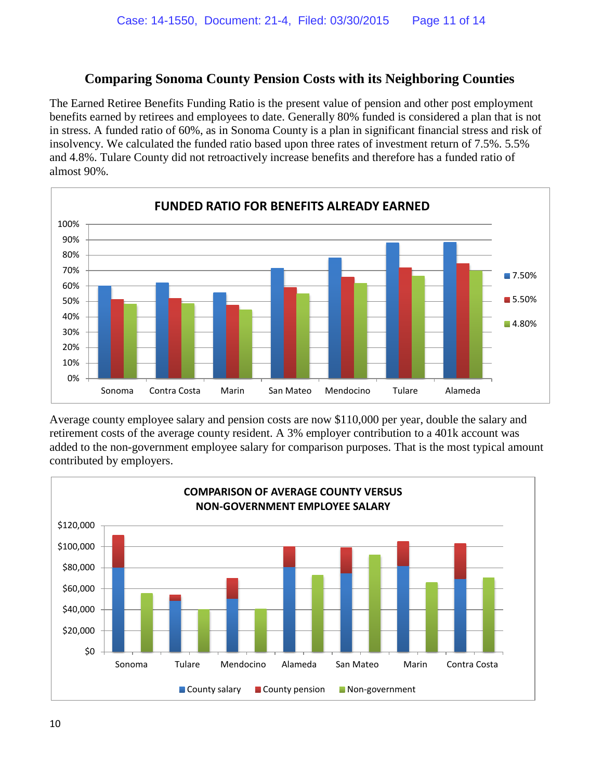# **Comparing Sonoma County Pension Costs with its Neighboring Counties**

The Earned Retiree Benefits Funding Ratio is the present value of pension and other post employment benefits earned by retirees and employees to date. Generally 80% funded is considered a plan that is not in stress. A funded ratio of 60%, as in Sonoma County is a plan in significant financial stress and risk of insolvency. We calculated the funded ratio based upon three rates of investment return of 7.5%. 5.5% and 4.8%. Tulare County did not retroactively increase benefits and therefore has a funded ratio of almost 90%.



Average county employee salary and pension costs are now \$110,000 per year, double the salary and retirement costs of the average county resident. A 3% employer contribution to a 401k account was added to the non-government employee salary for comparison purposes. That is the most typical amount contributed by employers.

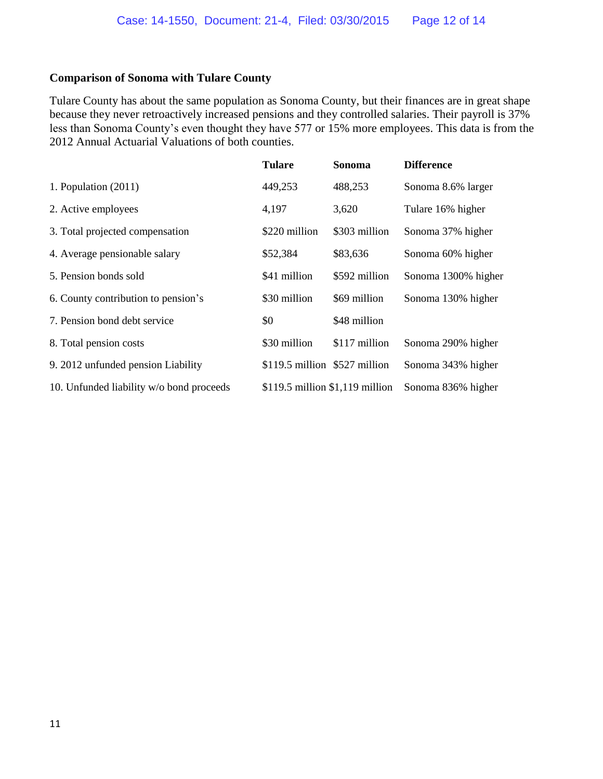#### **Comparison of Sonoma with Tulare County**

Tulare County has about the same population as Sonoma County, but their finances are in great shape because they never retroactively increased pensions and they controlled salaries. Their payroll is 37% less than Sonoma County's even thought they have 577 or 15% more employees. This data is from the 2012 Annual Actuarial Valuations of both counties.

|                                          | <b>Tulare</b>                   | Sonoma        | <b>Difference</b>   |
|------------------------------------------|---------------------------------|---------------|---------------------|
| 1. Population $(2011)$                   | 449,253                         | 488,253       | Sonoma 8.6% larger  |
| 2. Active employees                      | 4,197                           | 3,620         | Tulare 16% higher   |
| 3. Total projected compensation          | \$220 million                   | \$303 million | Sonoma 37% higher   |
| 4. Average pensionable salary            | \$52,384                        | \$83,636      | Sonoma 60% higher   |
| 5. Pension bonds sold                    | \$41 million                    | \$592 million | Sonoma 1300% higher |
| 6. County contribution to pension's      | \$30 million                    | \$69 million  | Sonoma 130% higher  |
| 7. Pension bond debt service             | \$0                             | \$48 million  |                     |
| 8. Total pension costs                   | \$30 million                    | \$117 million | Sonoma 290% higher  |
| 9. 2012 unfunded pension Liability       | $$119.5$ million $$527$ million |               | Sonoma 343% higher  |
| 10. Unfunded liability w/o bond proceeds | \$119.5 million \$1,119 million |               | Sonoma 836% higher  |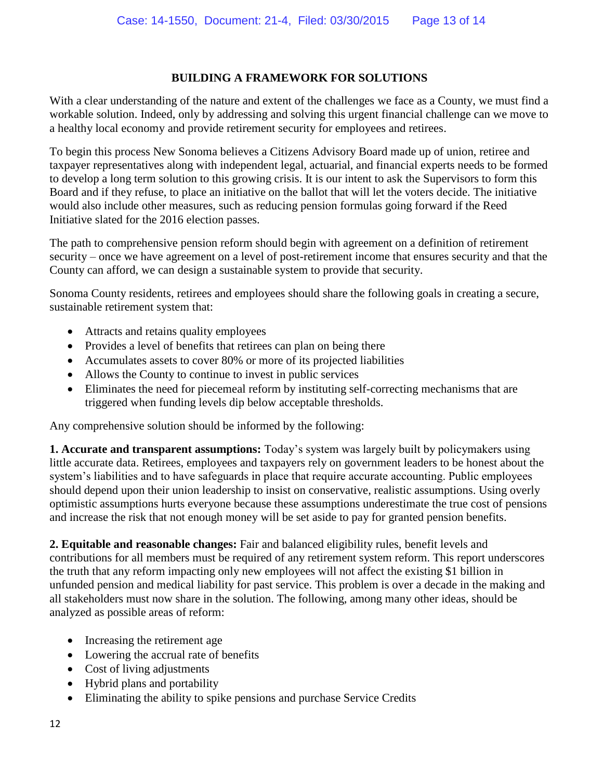#### **BUILDING A FRAMEWORK FOR SOLUTIONS**

With a clear understanding of the nature and extent of the challenges we face as a County, we must find a workable solution. Indeed, only by addressing and solving this urgent financial challenge can we move to a healthy local economy and provide retirement security for employees and retirees.

To begin this process New Sonoma believes a Citizens Advisory Board made up of union, retiree and taxpayer representatives along with independent legal, actuarial, and financial experts needs to be formed to develop a long term solution to this growing crisis. It is our intent to ask the Supervisors to form this Board and if they refuse, to place an initiative on the ballot that will let the voters decide. The initiative would also include other measures, such as reducing pension formulas going forward if the Reed Initiative slated for the 2016 election passes.

The path to comprehensive pension reform should begin with agreement on a definition of retirement security – once we have agreement on a level of post-retirement income that ensures security and that the County can afford, we can design a sustainable system to provide that security.

Sonoma County residents, retirees and employees should share the following goals in creating a secure, sustainable retirement system that:

- Attracts and retains quality employees
- Provides a level of benefits that retirees can plan on being there
- Accumulates assets to cover 80% or more of its projected liabilities
- Allows the County to continue to invest in public services
- Eliminates the need for piecemeal reform by instituting self-correcting mechanisms that are triggered when funding levels dip below acceptable thresholds.

Any comprehensive solution should be informed by the following:

**1. Accurate and transparent assumptions:** Today's system was largely built by policymakers using little accurate data. Retirees, employees and taxpayers rely on government leaders to be honest about the system's liabilities and to have safeguards in place that require accurate accounting. Public employees should depend upon their union leadership to insist on conservative, realistic assumptions. Using overly optimistic assumptions hurts everyone because these assumptions underestimate the true cost of pensions and increase the risk that not enough money will be set aside to pay for granted pension benefits.

**2. Equitable and reasonable changes:** Fair and balanced eligibility rules, benefit levels and contributions for all members must be required of any retirement system reform. This report underscores the truth that any reform impacting only new employees will not affect the existing \$1 billion in unfunded pension and medical liability for past service. This problem is over a decade in the making and all stakeholders must now share in the solution. The following, among many other ideas, should be analyzed as possible areas of reform:

- Increasing the retirement age
- Lowering the accrual rate of benefits
- Cost of living adjustments
- Hybrid plans and portability
- Eliminating the ability to spike pensions and purchase Service Credits